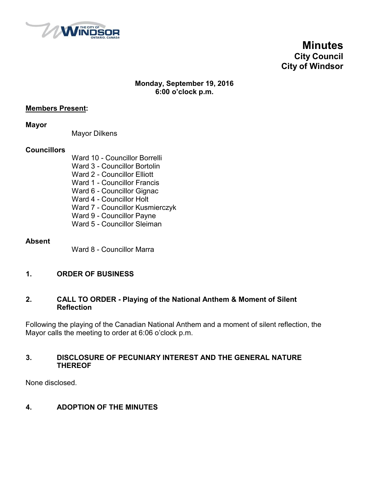

**Minutes City Council City of Windsor**

#### **Monday, September 19, 2016 6:00 o'clock p.m.**

#### **Members Present:**

**Mayor**

Mayor Dilkens

#### **Councillors**

Ward 10 - Councillor Borrelli Ward 3 - Councillor Bortolin Ward 2 - Councillor Elliott Ward 1 - Councillor Francis Ward 6 - Councillor Gignac Ward 4 - Councillor Holt Ward 7 - Councillor Kusmierczyk Ward 9 - Councillor Payne Ward 5 - Councillor Sleiman

#### **Absent**

Ward 8 - Councillor Marra

#### **1. ORDER OF BUSINESS**

#### **2. CALL TO ORDER - Playing of the National Anthem & Moment of Silent Reflection**

Following the playing of the Canadian National Anthem and a moment of silent reflection, the Mayor calls the meeting to order at 6:06 o'clock p.m.

#### **3. DISCLOSURE OF PECUNIARY INTEREST AND THE GENERAL NATURE THEREOF**

None disclosed.

#### **4. ADOPTION OF THE MINUTES**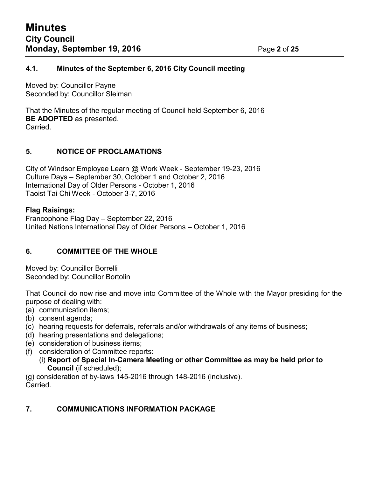#### **4.1. Minutes of the September 6, 2016 City Council meeting**

Moved by: Councillor Payne Seconded by: Councillor Sleiman

That the Minutes of the regular meeting of Council held September 6, 2016 **BE ADOPTED** as presented. Carried.

#### **5. NOTICE OF PROCLAMATIONS**

City of Windsor Employee Learn @ Work Week - September 19-23, 2016 Culture Days – September 30, October 1 and October 2, 2016 International Day of Older Persons - October 1, 2016 Taoist Tai Chi Week - October 3-7, 2016

#### **Flag Raisings:**

Francophone Flag Day – September 22, 2016 United Nations International Day of Older Persons – October 1, 2016

#### **6. COMMITTEE OF THE WHOLE**

Moved by: Councillor Borrelli Seconded by: Councillor Bortolin

That Council do now rise and move into Committee of the Whole with the Mayor presiding for the purpose of dealing with:

- (a) communication items;
- (b) consent agenda;
- (c) hearing requests for deferrals, referrals and/or withdrawals of any items of business;
- (d) hearing presentations and delegations;
- (e) consideration of business items;
- (f) consideration of Committee reports:
	- (i) **Report of Special In-Camera Meeting or other Committee as may be held prior to Council** (if scheduled);

(g) consideration of by-laws 145-2016 through 148-2016 (inclusive). Carried.

#### **7. COMMUNICATIONS INFORMATION PACKAGE**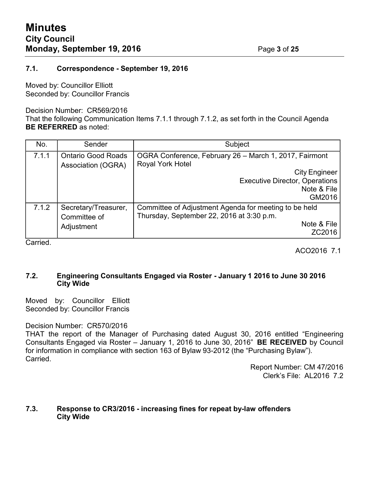#### **7.1. Correspondence - September 19, 2016**

Moved by: Councillor Elliott Seconded by: Councillor Francis

#### Decision Number: CR569/2016

That the following Communication Items 7.1.1 through 7.1.2, as set forth in the Council Agenda **BE REFERRED** as noted:

| No.   | Sender                                             | Subject                                                                                                                                                                     |
|-------|----------------------------------------------------|-----------------------------------------------------------------------------------------------------------------------------------------------------------------------------|
| 7.1.1 | <b>Ontario Good Roads</b><br>Association (OGRA)    | OGRA Conference, February 26 - March 1, 2017, Fairmont<br><b>Royal York Hotel</b><br><b>City Engineer</b><br><b>Executive Director, Operations</b><br>Note & File<br>GM2016 |
| 7.1.2 | Secretary/Treasurer,<br>Committee of<br>Adjustment | Committee of Adjustment Agenda for meeting to be held<br>Thursday, September 22, 2016 at 3:30 p.m.<br>Note & File<br>ZC2016                                                 |

Carried.

ACO2016 7.1

#### **7.2. Engineering Consultants Engaged via Roster - January 1 2016 to June 30 2016 City Wide**

Moved by: Councillor Elliott Seconded by: Councillor Francis

#### Decision Number: CR570/2016

THAT the report of the Manager of Purchasing dated August 30, 2016 entitled "Engineering Consultants Engaged via Roster – January 1, 2016 to June 30, 2016" **BE RECEIVED** by Council for information in compliance with section 163 of Bylaw 93-2012 (the "Purchasing Bylaw"). Carried.

> Report Number: CM 47/2016 Clerk's File: AL2016 7.2

#### **7.3. Response to CR3/2016 - increasing fines for repeat by-law offenders City Wide**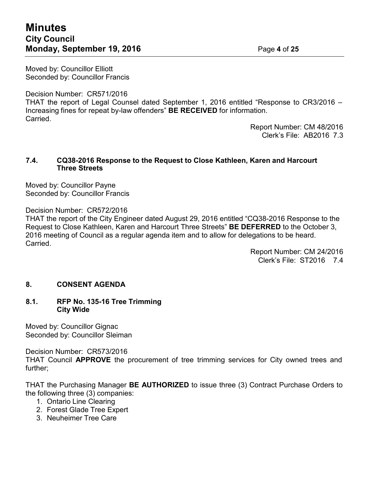## **Minutes City Council Monday, September 19, 2016** Page **4** of **25**

Moved by: Councillor Elliott Seconded by: Councillor Francis

Decision Number: CR571/2016

THAT the report of Legal Counsel dated September 1, 2016 entitled "Response to CR3/2016 – Increasing fines for repeat by-law offenders" **BE RECEIVED** for information. Carried.

Report Number: CM 48/2016 Clerk's File: AB2016 7.3

#### **7.4. CQ38-2016 Response to the Request to Close Kathleen, Karen and Harcourt Three Streets**

Moved by: Councillor Payne Seconded by: Councillor Francis

Decision Number: CR572/2016

THAT the report of the City Engineer dated August 29, 2016 entitled "CQ38-2016 Response to the Request to Close Kathleen, Karen and Harcourt Three Streets" **BE DEFERRED** to the October 3, 2016 meeting of Council as a regular agenda item and to allow for delegations to be heard. Carried.

> Report Number: CM 24/2016 Clerk's File: ST2016 7.4

#### **8. CONSENT AGENDA**

#### **8.1. RFP No. 135-16 Tree Trimming City Wide**

Moved by: Councillor Gignac Seconded by: Councillor Sleiman

Decision Number: CR573/2016

THAT Council **APPROVE** the procurement of tree trimming services for City owned trees and further;

THAT the Purchasing Manager **BE AUTHORIZED** to issue three (3) Contract Purchase Orders to the following three (3) companies:

- 1. Ontario Line Clearing
- 2. Forest Glade Tree Expert
- 3. Neuheimer Tree Care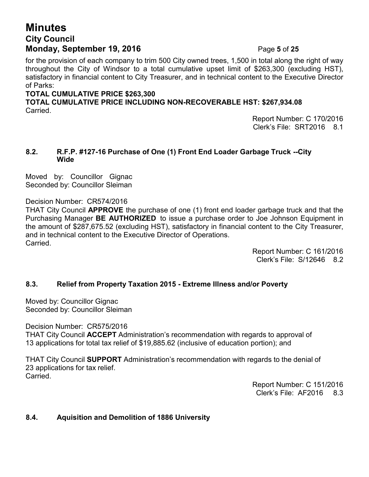## **Minutes City Council Monday, September 19, 2016** Page **5** of **25**

for the provision of each company to trim 500 City owned trees, 1,500 in total along the right of way throughout the City of Windsor to a total cumulative upset limit of \$263,300 (excluding HST), satisfactory in financial content to City Treasurer, and in technical content to the Executive Director of Parks:

#### **TOTAL CUMULATIVE PRICE \$263,300**

**TOTAL CUMULATIVE PRICE INCLUDING NON-RECOVERABLE HST: \$267,934.08** Carried.

> Report Number: C 170/2016 Clerk's File: SRT2016 8.1

#### **8.2. R.F.P. #127-16 Purchase of One (1) Front End Loader Garbage Truck --City Wide**

Moved by: Councillor Gignac Seconded by: Councillor Sleiman

Decision Number: CR574/2016

THAT City Council **APPROVE** the purchase of one (1) front end loader garbage truck and that the Purchasing Manager **BE AUTHORIZED** to issue a purchase order to Joe Johnson Equipment in the amount of \$287,675.52 (excluding HST), satisfactory in financial content to the City Treasurer, and in technical content to the Executive Director of Operations. Carried.

> Report Number: C 161/2016 Clerk's File: S/12646 8.2

### **8.3. Relief from Property Taxation 2015 - Extreme Illness and/or Poverty**

Moved by: Councillor Gignac Seconded by: Councillor Sleiman

Decision Number: CR575/2016

THAT City Council **ACCEPT** Administration's recommendation with regards to approval of 13 applications for total tax relief of \$19,885.62 (inclusive of education portion); and

THAT City Council **SUPPORT** Administration's recommendation with regards to the denial of 23 applications for tax relief. **Carried** 

> Report Number: C 151/2016 Clerk's File: AF2016 8.3

#### **8.4. Aquisition and Demolition of 1886 University**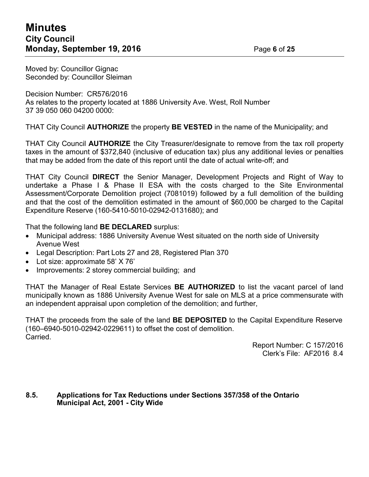Moved by: Councillor Gignac Seconded by: Councillor Sleiman

Decision Number: CR576/2016 As relates to the property located at 1886 University Ave. West, Roll Number 37 39 050 060 04200 0000:

THAT City Council **AUTHORIZE** the property **BE VESTED** in the name of the Municipality; and

THAT City Council **AUTHORIZE** the City Treasurer/designate to remove from the tax roll property taxes in the amount of \$372,840 (inclusive of education tax) plus any additional levies or penalties that may be added from the date of this report until the date of actual write-off; and

THAT City Council **DIRECT** the Senior Manager, Development Projects and Right of Way to undertake a Phase I & Phase II ESA with the costs charged to the Site Environmental Assessment/Corporate Demolition project (7081019) followed by a full demolition of the building and that the cost of the demolition estimated in the amount of \$60,000 be charged to the Capital Expenditure Reserve (160-5410-5010-02942-0131680); and

That the following land **BE DECLARED** surplus:

- Municipal address: 1886 University Avenue West situated on the north side of University Avenue West
- Legal Description: Part Lots 27 and 28, Registered Plan 370
- Lot size: approximate 58' X 76'
- Improvements: 2 storey commercial building; and

THAT the Manager of Real Estate Services **BE AUTHORIZED** to list the vacant parcel of land municipally known as 1886 University Avenue West for sale on MLS at a price commensurate with an independent appraisal upon completion of the demolition; and further,

THAT the proceeds from the sale of the land **BE DEPOSITED** to the Capital Expenditure Reserve (160–6940-5010-02942-0229611) to offset the cost of demolition. Carried.

> Report Number: C 157/2016 Clerk's File: AF2016 8.4

#### **8.5. Applications for Tax Reductions under Sections 357/358 of the Ontario Municipal Act, 2001 - City Wide**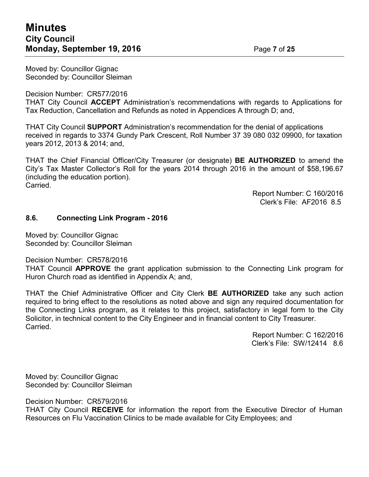Moved by: Councillor Gignac Seconded by: Councillor Sleiman

Decision Number: CR577/2016

THAT City Council **ACCEPT** Administration's recommendations with regards to Applications for Tax Reduction, Cancellation and Refunds as noted in Appendices A through D; and,

THAT City Council **SUPPORT** Administration's recommendation for the denial of applications received in regards to 3374 Gundy Park Crescent, Roll Number 37 39 080 032 09900, for taxation years 2012, 2013 & 2014; and,

THAT the Chief Financial Officer/City Treasurer (or designate) **BE AUTHORIZED** to amend the City's Tax Master Collector's Roll for the years 2014 through 2016 in the amount of \$58,196.67 (including the education portion). Carried.

> Report Number: C 160/2016 Clerk's File: AF2016 8.5

#### **8.6. Connecting Link Program - 2016**

Moved by: Councillor Gignac Seconded by: Councillor Sleiman

Decision Number: CR578/2016

THAT Council **APPROVE** the grant application submission to the Connecting Link program for Huron Church road as identified in Appendix A; and,

THAT the Chief Administrative Officer and City Clerk **BE AUTHORIZED** take any such action required to bring effect to the resolutions as noted above and sign any required documentation for the Connecting Links program, as it relates to this project, satisfactory in legal form to the City Solicitor, in technical content to the City Engineer and in financial content to City Treasurer. Carried.

> Report Number: C 162/2016 Clerk's File: SW/12414 8.6

Moved by: Councillor Gignac Seconded by: Councillor Sleiman

Decision Number: CR579/2016

THAT City Council **RECEIVE** for information the report from the Executive Director of Human Resources on Flu Vaccination Clinics to be made available for City Employees; and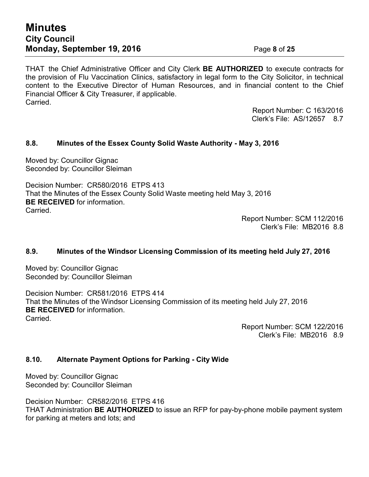## **Minutes City Council Monday, September 19, 2016** Page **8** of **25**

THAT the Chief Administrative Officer and City Clerk **BE AUTHORIZED** to execute contracts for the provision of Flu Vaccination Clinics, satisfactory in legal form to the City Solicitor, in technical content to the Executive Director of Human Resources, and in financial content to the Chief Financial Officer & City Treasurer, if applicable. Carried.

> Report Number: C 163/2016 Clerk's File: AS/12657 8.7

#### **8.8. Minutes of the Essex County Solid Waste Authority - May 3, 2016**

Moved by: Councillor Gignac Seconded by: Councillor Sleiman

Decision Number: CR580/2016 ETPS 413 That the Minutes of the Essex County Solid Waste meeting held May 3, 2016 **BE RECEIVED** for information. Carried.

> Report Number: SCM 112/2016 Clerk's File: MB2016 8.8

#### **8.9. Minutes of the Windsor Licensing Commission of its meeting held July 27, 2016**

Moved by: Councillor Gignac Seconded by: Councillor Sleiman

Decision Number: CR581/2016 ETPS 414 That the Minutes of the Windsor Licensing Commission of its meeting held July 27, 2016 **BE RECEIVED** for information. **Carried** 

> Report Number: SCM 122/2016 Clerk's File: MB2016 8.9

#### **8.10. Alternate Payment Options for Parking - City Wide**

Moved by: Councillor Gignac Seconded by: Councillor Sleiman

Decision Number: CR582/2016 ETPS 416 THAT Administration **BE AUTHORIZED** to issue an RFP for pay-by-phone mobile payment system for parking at meters and lots; and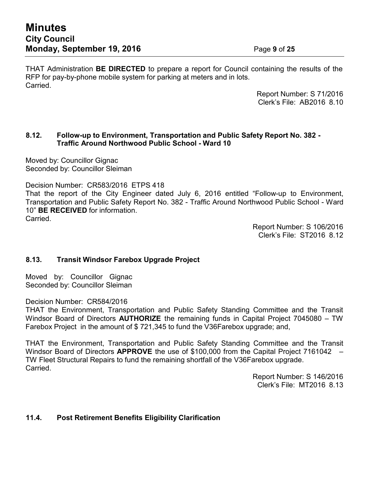THAT Administration **BE DIRECTED** to prepare a report for Council containing the results of the RFP for pay-by-phone mobile system for parking at meters and in lots. Carried.

> Report Number: S 71/2016 Clerk's File: AB2016 8.10

#### **8.12. Follow-up to Environment, Transportation and Public Safety Report No. 382 - Traffic Around Northwood Public School - Ward 10**

Moved by: Councillor Gignac Seconded by: Councillor Sleiman

Decision Number: CR583/2016 ETPS 418

That the report of the City Engineer dated July 6, 2016 entitled "Follow-up to Environment, Transportation and Public Safety Report No. 382 - Traffic Around Northwood Public School - Ward 10" **BE RECEIVED** for information. Carried.

> Report Number: S 106/2016 Clerk's File: ST2016 8.12

#### **8.13. Transit Windsor Farebox Upgrade Project**

Moved by: Councillor Gignac Seconded by: Councillor Sleiman

Decision Number: CR584/2016

THAT the Environment, Transportation and Public Safety Standing Committee and the Transit Windsor Board of Directors **AUTHORIZE** the remaining funds in Capital Project 7045080 – TW Farebox Project in the amount of \$ 721,345 to fund the V36Farebox upgrade; and,

THAT the Environment, Transportation and Public Safety Standing Committee and the Transit Windsor Board of Directors **APPROVE** the use of \$100,000 from the Capital Project 7161042 – TW Fleet Structural Repairs to fund the remaining shortfall of the V36Farebox upgrade. Carried.

> Report Number: S 146/2016 Clerk's File: MT2016 8.13

#### **11.4. Post Retirement Benefits Eligibility Clarification**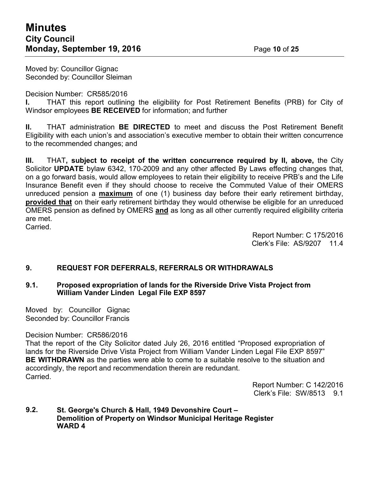Moved by: Councillor Gignac Seconded by: Councillor Sleiman

Decision Number: CR585/2016

**I.** THAT this report outlining the eligibility for Post Retirement Benefits (PRB) for City of Windsor employees **BE RECEIVED** for information; and further

**II.** THAT administration **BE DIRECTED** to meet and discuss the Post Retirement Benefit Eligibility with each union's and association's executive member to obtain their written concurrence to the recommended changes; and

**III.** THAT**, subject to receipt of the written concurrence required by II, above,** the City Solicitor **UPDATE** bylaw 6342, 170-2009 and any other affected By Laws effecting changes that, on a go forward basis, would allow employees to retain their eligibility to receive PRB's and the Life Insurance Benefit even if they should choose to receive the Commuted Value of their OMERS unreduced pension a **maximum** of one (1) business day before their early retirement birthday, **provided that** on their early retirement birthday they would otherwise be eligible for an unreduced OMERS pension as defined by OMERS **and** as long as all other currently required eligibility criteria are met.

Carried.

Report Number: C 175/2016 Clerk's File: AS/9207 11.4

#### **9. REQUEST FOR DEFERRALS, REFERRALS OR WITHDRAWALS**

#### **9.1. Proposed expropriation of lands for the Riverside Drive Vista Project from William Vander Linden Legal File EXP 8597**

Moved by: Councillor Gignac Seconded by: Councillor Francis

#### Decision Number: CR586/2016

That the report of the City Solicitor dated July 26, 2016 entitled "Proposed expropriation of lands for the Riverside Drive Vista Project from William Vander Linden Legal File EXP 8597" **BE WITHDRAWN** as the parties were able to come to a suitable resolve to the situation and accordingly, the report and recommendation therein are redundant. Carried.

> Report Number: C 142/2016 Clerk's File: SW/8513 9.1

#### **9.2. St. George's Church & Hall, 1949 Devonshire Court – Demolition of Property on Windsor Municipal Heritage Register WARD 4**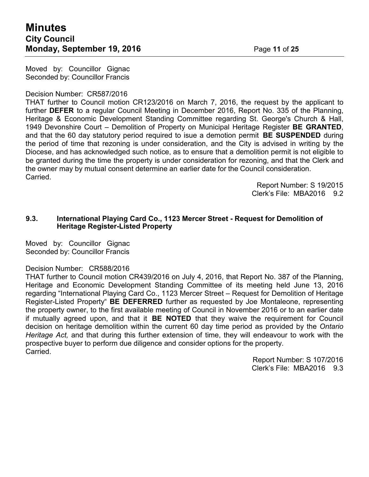Moved by: Councillor Gignac Seconded by: Councillor Francis

#### Decision Number: CR587/2016

THAT further to Council motion CR123/2016 on March 7, 2016, the request by the applicant to further **DEFER** to a regular Council Meeting in December 2016, Report No. 335 of the Planning, Heritage & Economic Development Standing Committee regarding St. George's Church & Hall, 1949 Devonshire Court – Demolition of Property on Municipal Heritage Register **BE GRANTED**, and that the 60 day statutory period required to isue a demotion permit **BE SUSPENDED** during the period of time that rezoning is under consideration, and the City is advised in writing by the Diocese, and has acknowledged such notice, as to ensure that a demolition permit is not eligible to be granted during the time the property is under consideration for rezoning, and that the Clerk and the owner may by mutual consent determine an earlier date for the Council consideration. Carried.

> Report Number: S 19/2015 Clerk's File: MBA2016 9.2

#### **9.3. International Playing Card Co., 1123 Mercer Street - Request for Demolition of Heritage Register-Listed Property**

Moved by: Councillor Gignac Seconded by: Councillor Francis

#### Decision Number: CR588/2016

THAT further to Council motion CR439/2016 on July 4, 2016, that Report No. 387 of the Planning, Heritage and Economic Development Standing Committee of its meeting held June 13, 2016 regarding "International Playing Card Co., 1123 Mercer Street – Request for Demolition of Heritage Register-Listed Property" **BE DEFERRED** further as requested by Joe Montaleone, representing the property owner, to the first available meeting of Council in November 2016 or to an earlier date if mutually agreed upon, and that it **BE NOTED** that they waive the requirement for Council decision on heritage demolition within the current 60 day time period as provided by the *Ontario Heritage Act,* and that during this further extension of time, they will endeavour to work with the prospective buyer to perform due diligence and consider options for the property. Carried.

> Report Number: S 107/2016 Clerk's File: MBA2016 9.3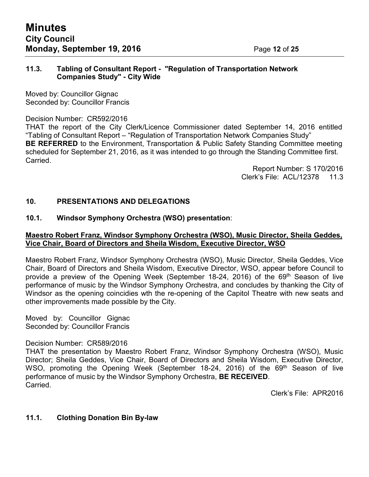#### **11.3. Tabling of Consultant Report - "Regulation of Transportation Network Companies Study" - City Wide**

Moved by: Councillor Gignac Seconded by: Councillor Francis

#### Decision Number: CR592/2016

THAT the report of the City Clerk/Licence Commissioner dated September 14, 2016 entitled "Tabling of Consultant Report – "Regulation of Transportation Network Companies Study" **BE REFERRED** to the Environment, Transportation & Public Safety Standing Committee meeting scheduled for September 21, 2016, as it was intended to go through the Standing Committee first. Carried.

> Report Number: S 170/2016 Clerk's File: ACL/12378 11.3

#### **10. PRESENTATIONS AND DELEGATIONS**

#### **10.1. Windsor Symphony Orchestra (WSO) presentation**:

#### **Maestro Robert Franz, Windsor Symphony Orchestra (WSO), Music Director, Sheila Geddes, Vice Chair, Board of Directors and Sheila Wisdom, Executive Director, WSO**

Maestro Robert Franz, Windsor Symphony Orchestra (WSO), Music Director, Sheila Geddes, Vice Chair, Board of Directors and Sheila Wisdom, Executive Director, WSO, appear before Council to provide a preview of the Opening Week (September 18-24, 2016) of the 69<sup>th</sup> Season of live performance of music by the Windsor Symphony Orchestra, and concludes by thanking the City of Windsor as the opening coincidies wth the re-opening of the Capitol Theatre with new seats and other improvements made possible by the City.

Moved by: Councillor Gignac Seconded by: Councillor Francis

#### Decision Number: CR589/2016

THAT the presentation by Maestro Robert Franz, Windsor Symphony Orchestra (WSO), Music Director; Sheila Geddes, Vice Chair, Board of Directors and Sheila Wisdom, Executive Director, WSO, promoting the Opening Week (September 18-24, 2016) of the 69<sup>th</sup> Season of live performance of music by the Windsor Symphony Orchestra, **BE RECEIVED**. Carried.

Clerk's File: APR2016

#### **11.1. Clothing Donation Bin By-law**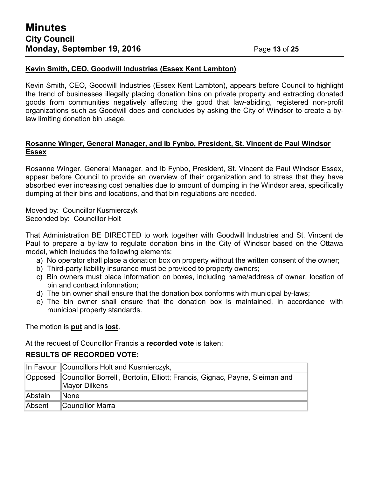#### **Kevin Smith, CEO, Goodwill Industries (Essex Kent Lambton)**

Kevin Smith, CEO, Goodwill Industries (Essex Kent Lambton), appears before Council to highlight the trend of businesses illegally placing donation bins on private property and extracting donated goods from communities negatively affecting the good that law-abiding, registered non-profit organizations such as Goodwill does and concludes by asking the City of Windsor to create a bylaw limiting donation bin usage.

#### **Rosanne Winger, General Manager, and Ib Fynbo, President, St. Vincent de Paul Windsor Essex**

Rosanne Winger, General Manager, and Ib Fynbo, President, St. Vincent de Paul Windsor Essex, appear before Council to provide an overview of their organization and to stress that they have absorbed ever increasing cost penalties due to amount of dumping in the Windsor area, specifically dumping at their bins and locations, and that bin regulations are needed.

Moved by: Councillor Kusmierczyk Seconded by: Councillor Holt

That Administration BE DIRECTED to work together with Goodwill Industries and St. Vincent de Paul to prepare a by-law to regulate donation bins in the City of Windsor based on the Ottawa model, which includes the following elements:

- a) No operator shall place a donation box on property without the written consent of the owner;
- b) Third-party liability insurance must be provided to property owners;
- c) Bin owners must place information on boxes, including name/address of owner, location of bin and contract information;
- d) The bin owner shall ensure that the donation box conforms with municipal by-laws;
- e) The bin owner shall ensure that the donation box is maintained, in accordance with municipal property standards.

The motion is **put** and is **lost**.

At the request of Councillor Francis a **recorded vote** is taken:

#### **RESULTS OF RECORDED VOTE:**

|         | In Favour Councillors Holt and Kusmierczyk,                                                          |  |
|---------|------------------------------------------------------------------------------------------------------|--|
|         | Opposed Councillor Borrelli, Bortolin, Elliott; Francis, Gignac, Payne, Sleiman and<br>Mayor Dilkens |  |
| Abstain | ∥None                                                                                                |  |
| Absent  | ∥Councillor Marra                                                                                    |  |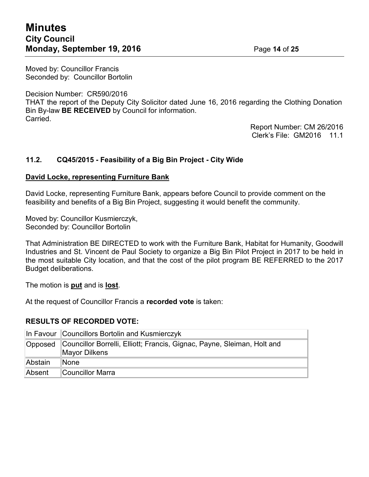## **Minutes City Council Monday, September 19, 2016** Page 14 of 25

Moved by: Councillor Francis Seconded by: Councillor Bortolin

Decision Number: CR590/2016

THAT the report of the Deputy City Solicitor dated June 16, 2016 regarding the Clothing Donation Bin By-law **BE RECEIVED** by Council for information. Carried.

> Report Number: CM 26/2016 Clerk's File: GM2016 11.1

#### **11.2. CQ45/2015 - Feasibility of a Big Bin Project - City Wide**

#### **David Locke, representing Furniture Bank**

David Locke, representing Furniture Bank, appears before Council to provide comment on the feasibility and benefits of a Big Bin Project, suggesting it would benefit the community.

Moved by: Councillor Kusmierczyk, Seconded by: Councillor Bortolin

That Administration BE DIRECTED to work with the Furniture Bank, Habitat for Humanity, Goodwill Industries and St. Vincent de Paul Society to organize a Big Bin Pilot Project in 2017 to be held in the most suitable City location, and that the cost of the pilot program BE REFERRED to the 2017 Budget deliberations.

The motion is **put** and is **lost**.

At the request of Councillor Francis a **recorded vote** is taken:

#### **RESULTS OF RECORDED VOTE:**

|         | In Favour Councillors Bortolin and Kusmierczyk                                                   |  |
|---------|--------------------------------------------------------------------------------------------------|--|
|         | Opposed Councillor Borrelli, Elliott; Francis, Gignac, Payne, Sleiman, Holt and<br>Mayor Dilkens |  |
| Abstain | lNone                                                                                            |  |
| Absent  | Councillor Marra                                                                                 |  |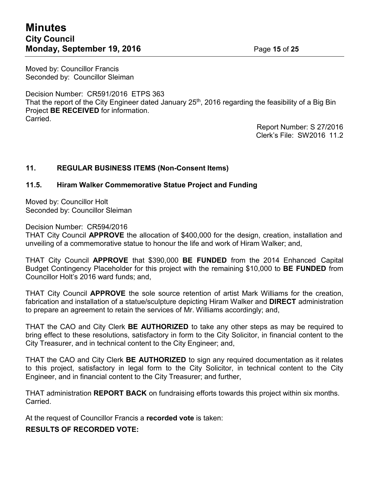## **Minutes City Council Monday, September 19, 2016** Page 15 of 25

Moved by: Councillor Francis Seconded by: Councillor Sleiman

Decision Number: CR591/2016 ETPS 363 That the report of the City Engineer dated January 25<sup>th</sup>, 2016 regarding the feasibility of a Big Bin Project **BE RECEIVED** for information. Carried.

Report Number: S 27/2016 Clerk's File: SW2016 11.2

#### **11. REGULAR BUSINESS ITEMS (Non-Consent Items)**

#### **11.5. Hiram Walker Commemorative Statue Project and Funding**

Moved by: Councillor Holt Seconded by: Councillor Sleiman

Decision Number: CR594/2016

THAT City Council **APPROVE** the allocation of \$400,000 for the design, creation, installation and unveiling of a commemorative statue to honour the life and work of Hiram Walker; and,

THAT City Council **APPROVE** that \$390,000 **BE FUNDED** from the 2014 Enhanced Capital Budget Contingency Placeholder for this project with the remaining \$10,000 to **BE FUNDED** from Councillor Holt's 2016 ward funds; and,

THAT City Council **APPROVE** the sole source retention of artist Mark Williams for the creation, fabrication and installation of a statue/sculpture depicting Hiram Walker and **DIRECT** administration to prepare an agreement to retain the services of Mr. Williams accordingly; and,

THAT the CAO and City Clerk **BE AUTHORIZED** to take any other steps as may be required to bring effect to these resolutions, satisfactory in form to the City Solicitor, in financial content to the City Treasurer, and in technical content to the City Engineer; and,

THAT the CAO and City Clerk **BE AUTHORIZED** to sign any required documentation as it relates to this project, satisfactory in legal form to the City Solicitor, in technical content to the City Engineer, and in financial content to the City Treasurer; and further,

THAT administration **REPORT BACK** on fundraising efforts towards this project within six months. Carried.

At the request of Councillor Francis a **recorded vote** is taken:

**RESULTS OF RECORDED VOTE:**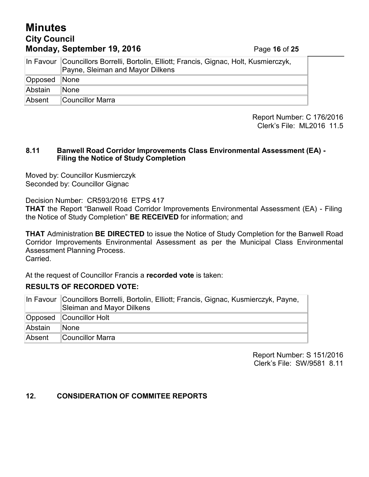## **Minutes City Council Monday, September 19, 2016** Page **16** of **25**

|         | In Favour Councillors Borrelli, Bortolin, Elliott; Francis, Gignac, Holt, Kusmierczyk,<br>Payne, Sleiman and Mayor Dilkens |  |
|---------|----------------------------------------------------------------------------------------------------------------------------|--|
| Opposed | $\blacksquare$ None                                                                                                        |  |
| Abstain | lNone                                                                                                                      |  |
| Absent  | Councillor Marra                                                                                                           |  |

Report Number: C 176/2016 Clerk's File: ML2016 11.5

#### **8.11 Banwell Road Corridor Improvements Class Environmental Assessment (EA) - Filing the Notice of Study Completion**

Moved by: Councillor Kusmierczyk Seconded by: Councillor Gignac

Decision Number: CR593/2016 ETPS 417

**THAT** the Report "Banwell Road Corridor Improvements Environmental Assessment (EA) - Filing the Notice of Study Completion" **BE RECEIVED** for information; and

**THAT** Administration **BE DIRECTED** to issue the Notice of Study Completion for the Banwell Road Corridor Improvements Environmental Assessment as per the Municipal Class Environmental Assessment Planning Process. Carried.

At the request of Councillor Francis a **recorded vote** is taken:

#### **RESULTS OF RECORDED VOTE:**

|         | In Favour Councillors Borrelli, Bortolin, Elliott; Francis, Gignac, Kusmierczyk, Payne,<br>Sleiman and Mayor Dilkens |  |
|---------|----------------------------------------------------------------------------------------------------------------------|--|
|         | Opposed Councillor Holt                                                                                              |  |
| Abstain | None                                                                                                                 |  |
| Absent  | Councillor Marra                                                                                                     |  |

Report Number: S 151/2016 Clerk's File: SW/9581 8.11

#### **12. CONSIDERATION OF COMMITEE REPORTS**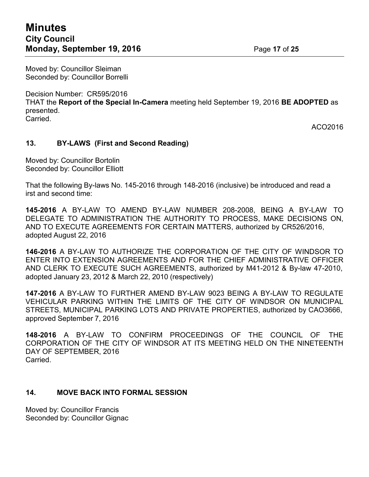Moved by: Councillor Sleiman Seconded by: Councillor Borrelli

Decision Number: CR595/2016 THAT the **Report of the Special In-Camera** meeting held September 19, 2016 **BE ADOPTED** as presented. Carried.

ACO2016

#### **13. BY-LAWS (First and Second Reading)**

Moved by: Councillor Bortolin Seconded by: Councillor Elliott

That the following By-laws No. 145-2016 through 148-2016 (inclusive) be introduced and read a irst and second time:

**145-2016** A BY-LAW TO AMEND BY-LAW NUMBER 208-2008, BEING A BY-LAW TO DELEGATE TO ADMINISTRATION THE AUTHORITY TO PROCESS, MAKE DECISIONS ON, AND TO EXECUTE AGREEMENTS FOR CERTAIN MATTERS, authorized by CR526/2016, adopted August 22, 2016

**146-2016** A BY-LAW TO AUTHORIZE THE CORPORATION OF THE CITY OF WINDSOR TO ENTER INTO EXTENSION AGREEMENTS AND FOR THE CHIEF ADMINISTRATIVE OFFICER AND CLERK TO EXECUTE SUCH AGREEMENTS, authorized by M41-2012 & By-law 47-2010, adopted January 23, 2012 & March 22, 2010 (respectively)

**147-2016** A BY-LAW TO FURTHER AMEND BY-LAW 9023 BEING A BY-LAW TO REGULATE VEHICULAR PARKING WITHIN THE LIMITS OF THE CITY OF WINDSOR ON MUNICIPAL STREETS, MUNICIPAL PARKING LOTS AND PRIVATE PROPERTIES, authorized by CAO3666, approved September 7, 2016

**148-2016** A BY-LAW TO CONFIRM PROCEEDINGS OF THE COUNCIL OF THE CORPORATION OF THE CITY OF WINDSOR AT ITS MEETING HELD ON THE NINETEENTH DAY OF SEPTEMBER, 2016 **Carried** 

#### **14. MOVE BACK INTO FORMAL SESSION**

Moved by: Councillor Francis Seconded by: Councillor Gignac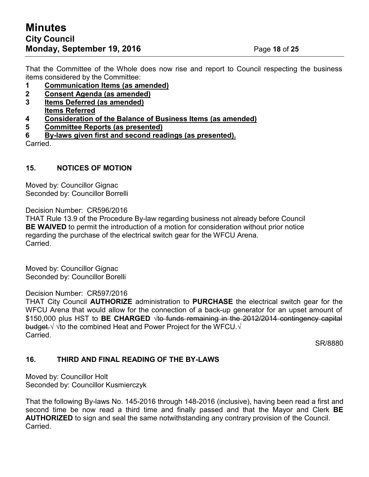That the Committee of the Whole does now rise and report to Council respecting the business items considered by the Committee:

- **1 Communication Items (as amended)**
- **2 Consent Agenda (as amended)**
- **3 Items Deferred (as amended) Items Referred**
- **4 Consideration of the Balance of Business Items (as amended)**
- **5 Committee Reports (as presented)**
- **6 By-laws given first and second readings (as presented).**

Carried.

#### **15. NOTICES OF MOTION**

Moved by: Councillor Gignac Seconded by: Councillor Borrelli

Decision Number: CR596/2016

THAT Rule 13.9 of the Procedure By-law regarding business not already before Council **BE WAIVED** to permit the introduction of a motion for consideration without prior notice regarding the purchase of the electrical switch gear for the WFCU Arena. Carried.

Moved by: Councillor Gignac Seconded by: Councillor Borelli

#### Decision Number: CR597/2016

THAT City Council **AUTHORIZE** administration to **PURCHASE** the electrical switch gear for the WFCU Arena that would allow for the connection of a back-up generator for an upset amount of \$150,000 plus HST to **BE CHARGED** √to funds remaining in the 2012/2014 contingency capital budget.√ √to the combined Heat and Power Project for the WFCU.√ Carried.

SR/8880

#### **16. THIRD AND FINAL READING OF THE BY-LAWS**

Moved by: Councillor Holt Seconded by: Councillor Kusmierczyk

That the following By-laws No. 145-2016 through 148-2016 (inclusive), having been read a first and second time be now read a third time and finally passed and that the Mayor and Clerk **BE AUTHORIZED** to sign and seal the same notwithstanding any contrary provision of the Council. Carried.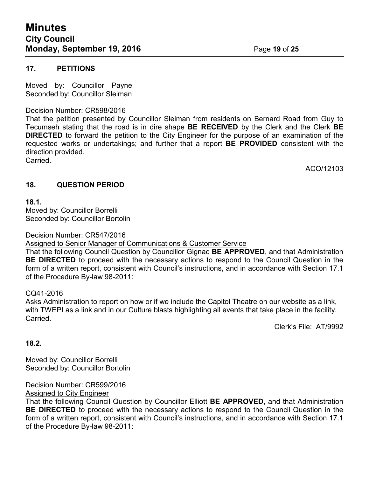#### **17. PETITIONS**

Moved by: Councillor Payne Seconded by: Councillor Sleiman

#### Decision Number: CR598/2016

That the petition presented by Councillor Sleiman from residents on Bernard Road from Guy to Tecumseh stating that the road is in dire shape **BE RECEIVED** by the Clerk and the Clerk **BE DIRECTED** to forward the petition to the City Engineer for the purpose of an examination of the requested works or undertakings; and further that a report **BE PROVIDED** consistent with the direction provided.

Carried.

ACO/12103

#### **18. QUESTION PERIOD**

**18.1.**

Moved by: Councillor Borrelli Seconded by: Councillor Bortolin

Decision Number: CR547/2016

Assigned to Senior Manager of Communications & Customer Service

That the following Council Question by Councillor Gignac **BE APPROVED**, and that Administration **BE DIRECTED** to proceed with the necessary actions to respond to the Council Question in the form of a written report, consistent with Council's instructions, and in accordance with Section 17.1 of the Procedure By-law 98-2011:

CQ41-2016

Asks Administration to report on how or if we include the Capitol Theatre on our website as a link, with TWEPI as a link and in our Culture blasts highlighting all events that take place in the facility. Carried.

Clerk's File: AT/9992

#### **18.2.**

Moved by: Councillor Borrelli Seconded by: Councillor Bortolin

Decision Number: CR599/2016 Assigned to City Engineer

That the following Council Question by Councillor Elliott **BE APPROVED**, and that Administration **BE DIRECTED** to proceed with the necessary actions to respond to the Council Question in the form of a written report, consistent with Council's instructions, and in accordance with Section 17.1 of the Procedure By-law 98-2011: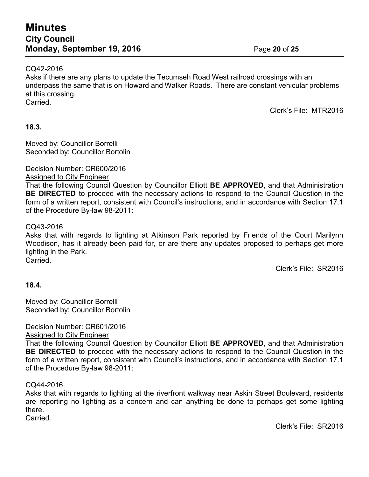#### CQ42-2016

Asks if there are any plans to update the Tecumseh Road West railroad crossings with an underpass the same that is on Howard and Walker Roads. There are constant vehicular problems at this crossing. Carried.

Clerk's File: MTR2016

#### **18.3.**

Moved by: Councillor Borrelli Seconded by: Councillor Bortolin

Decision Number: CR600/2016

#### Assigned to City Engineer

That the following Council Question by Councillor Elliott **BE APPROVED**, and that Administration **BE DIRECTED** to proceed with the necessary actions to respond to the Council Question in the form of a written report, consistent with Council's instructions, and in accordance with Section 17.1 of the Procedure By-law 98-2011:

#### CQ43-2016

Asks that with regards to lighting at Atkinson Park reported by Friends of the Court Marilynn Woodison, has it already been paid for, or are there any updates proposed to perhaps get more lighting in the Park.

Carried.

Clerk's File: SR2016

#### **18.4.**

Moved by: Councillor Borrelli Seconded by: Councillor Bortolin

Decision Number: CR601/2016 Assigned to City Engineer

That the following Council Question by Councillor Elliott **BE APPROVED**, and that Administration **BE DIRECTED** to proceed with the necessary actions to respond to the Council Question in the form of a written report, consistent with Council's instructions, and in accordance with Section 17.1 of the Procedure By-law 98-2011:

#### CQ44-2016

Asks that with regards to lighting at the riverfront walkway near Askin Street Boulevard, residents are reporting no lighting as a concern and can anything be done to perhaps get some lighting there.

Carried.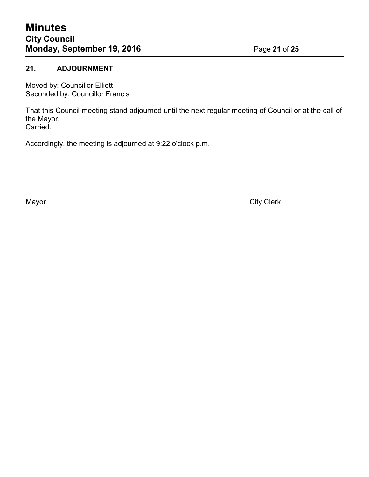#### **21. ADJOURNMENT**

Moved by: Councillor Elliott Seconded by: Councillor Francis

That this Council meeting stand adjourned until the next regular meeting of Council or at the call of the Mayor. Carried.

Accordingly, the meeting is adjourned at 9:22 o'clock p.m.

Mayor City Clerk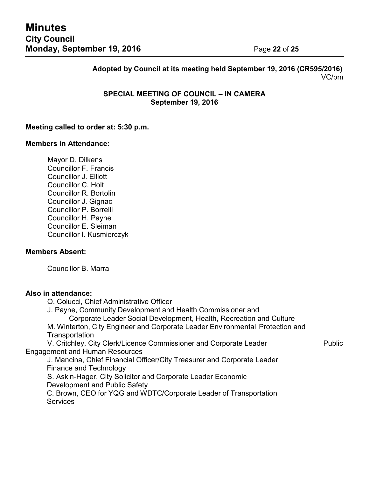**Adopted by Council at its meeting held September 19, 2016 (CR595/2016)** VC/bm

#### **SPECIAL MEETING OF COUNCIL – IN CAMERA September 19, 2016**

#### **Meeting called to order at: 5:30 p.m.**

#### **Members in Attendance:**

Mayor D. Dilkens Councillor F. Francis Councillor J. Elliott Councillor C. Holt Councillor R. Bortolin Councillor J. Gignac Councillor P. Borrelli Councillor H. Payne Councillor E. Sleiman Councillor I. Kusmierczyk

#### **Members Absent:**

Councillor B. Marra

#### **Also in attendance:**

O. Colucci, Chief Administrative Officer

J. Payne, Community Development and Health Commissioner and

Corporate Leader Social Development, Health, Recreation and Culture

M. Winterton, City Engineer and Corporate Leader Environmental Protection and **Transportation** 

V. Critchley, City Clerk/Licence Commissioner and Corporate Leader Public Engagement and Human Resources

J. Mancina, Chief Financial Officer/City Treasurer and Corporate Leader Finance and Technology

S. Askin-Hager, City Solicitor and Corporate Leader Economic Development and Public Safety

C. Brown, CEO for YQG and WDTC/Corporate Leader of Transportation **Services**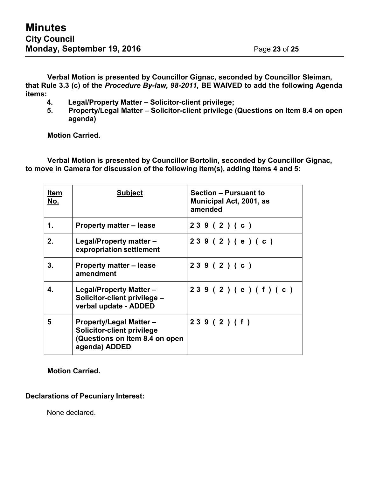**Verbal Motion is presented by Councillor Gignac, seconded by Councillor Sleiman, that Rule 3.3 (c) of the** *Procedure By-law, 98-2011,* **BE WAIVED to add the following Agenda items:**

- **4. Legal/Property Matter – Solicitor-client privilege;**
- **5. Property/Legal Matter – Solicitor-client privilege (Questions on Item 8.4 on open agenda)**

**Motion Carried.**

**Verbal Motion is presented by Councillor Bortolin, seconded by Councillor Gignac, to move in Camera for discussion of the following item(s), adding Items 4 and 5:**

| <u>Item</u><br>No. | <b>Subject</b>                                                                                                         | <b>Section - Pursuant to</b><br>Municipal Act, 2001, as<br>amended |
|--------------------|------------------------------------------------------------------------------------------------------------------------|--------------------------------------------------------------------|
| 1.                 | <b>Property matter – lease</b>                                                                                         | 239(2)(c)                                                          |
| 2.                 | Legal/Property matter -<br>expropriation settlement                                                                    | 239(2)(e)(c)                                                       |
| 3.                 | <b>Property matter – lease</b><br>amendment                                                                            | 239(2)(c)                                                          |
| 4.                 | <b>Legal/Property Matter -</b><br>Solicitor-client privilege -<br>verbal update - ADDED                                | 239 (2) (e) (f) (c)                                                |
| 5                  | <b>Property/Legal Matter –</b><br><b>Solicitor-client privilege</b><br>(Questions on Item 8.4 on open<br>agenda) ADDED | 239(2)(f)                                                          |

**Motion Carried.**

#### **Declarations of Pecuniary Interest:**

None declared.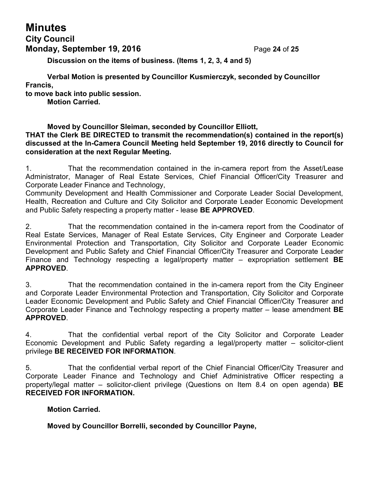# **Minutes**

## **City Council Monday, September 19, 2016** Page **24** of **25**

**Discussion on the items of business. (Items 1, 2, 3, 4 and 5)**

**Verbal Motion is presented by Councillor Kusmierczyk, seconded by Councillor Francis,**

**to move back into public session.**

**Motion Carried.**

**Moved by Councillor Sleiman, seconded by Councillor Elliott,**

**THAT the Clerk BE DIRECTED to transmit the recommendation(s) contained in the report(s) discussed at the In-Camera Council Meeting held September 19, 2016 directly to Council for consideration at the next Regular Meeting.**

1. That the recommendation contained in the in-camera report from the Asset/Lease Administrator, Manager of Real Estate Services, Chief Financial Officer/City Treasurer and Corporate Leader Finance and Technology,

Community Development and Health Commissioner and Corporate Leader Social Development, Health, Recreation and Culture and City Solicitor and Corporate Leader Economic Development and Public Safety respecting a property matter - lease **BE APPROVED**.

2. That the recommendation contained in the in-camera report from the Coodinator of Real Estate Services, Manager of Real Estate Services, City Engineer and Corporate Leader Environmental Protection and Transportation, City Solicitor and Corporate Leader Economic Development and Public Safety and Chief Financial Officer/City Treasurer and Corporate Leader Finance and Technology respecting a legal/property matter – expropriation settlement **BE APPROVED**.

3. That the recommendation contained in the in-camera report from the City Engineer and Corporate Leader Environmental Protection and Transportation, City Solicitor and Corporate Leader Economic Development and Public Safety and Chief Financial Officer/City Treasurer and Corporate Leader Finance and Technology respecting a property matter – lease amendment **BE APPROVED**.

4. That the confidential verbal report of the City Solicitor and Corporate Leader Economic Development and Public Safety regarding a legal/property matter – solicitor-client privilege **BE RECEIVED FOR INFORMATION**.

5. That the confidential verbal report of the Chief Financial Officer/City Treasurer and Corporate Leader Finance and Technology and Chief Administrative Officer respecting a property/legal matter – solicitor-client privilege (Questions on Item 8.4 on open agenda) **BE RECEIVED FOR INFORMATION.**

#### **Motion Carried.**

**Moved by Councillor Borrelli, seconded by Councillor Payne,**